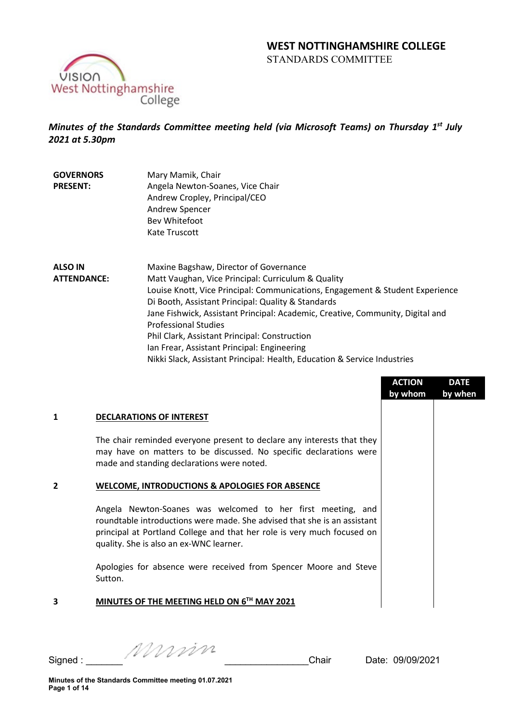# **WEST NOTTINGHAMSHIRE COLLEGE**  STANDARDS COMMITTEE



*Minutes of the Standards Committee meeting held (via Microsoft Teams) on Thursday 1st July 2021 at 5.30pm*

**GOVERNORS PRESENT:** Mary Mamik, Chair Angela Newton-Soanes, Vice Chair Andrew Cropley, Principal/CEO Andrew Spencer Bev Whitefoot Kate Truscott

**ALSO IN ATTENDANCE:** Maxine Bagshaw, Director of Governance Matt Vaughan, Vice Principal: Curriculum & Quality Louise Knott, Vice Principal: Communications, Engagement & Student Experience Di Booth, Assistant Principal: Quality & Standards Jane Fishwick, Assistant Principal: Academic, Creative, Community, Digital and Professional Studies Phil Clark, Assistant Principal: Construction Ian Frear, Assistant Principal: Engineering Nikki Slack, Assistant Principal: Health, Education & Service Industries

|   |                                                                                                                                                                                                                                                               | <b>ACTION</b><br>by whom | <b>DATE</b><br>by when |
|---|---------------------------------------------------------------------------------------------------------------------------------------------------------------------------------------------------------------------------------------------------------------|--------------------------|------------------------|
| 1 | <b>DECLARATIONS OF INTEREST</b>                                                                                                                                                                                                                               |                          |                        |
|   | The chair reminded everyone present to declare any interests that they<br>may have on matters to be discussed. No specific declarations were<br>made and standing declarations were noted.                                                                    |                          |                        |
| 2 | <b>WELCOME, INTRODUCTIONS &amp; APOLOGIES FOR ABSENCE</b>                                                                                                                                                                                                     |                          |                        |
|   | Angela Newton-Soanes was welcomed to her first meeting, and<br>roundtable introductions were made. She advised that she is an assistant<br>principal at Portland College and that her role is very much focused on<br>quality. She is also an ex-WNC learner. |                          |                        |
|   | Apologies for absence were received from Spencer Moore and Steve<br>Sutton.                                                                                                                                                                                   |                          |                        |
| 3 | MINUTES OF THE MEETING HELD ON 6TH MAY 2021                                                                                                                                                                                                                   |                          |                        |

Signed :  $\frac{1}{2}$  Signed :  $\frac{1}{2}$   $\frac{1}{2}$   $\frac{1}{2}$   $\frac{1}{2}$   $\frac{1}{2}$   $\frac{1}{2}$   $\frac{1}{2}$   $\frac{1}{2}$   $\frac{1}{2}$   $\frac{1}{2}$   $\frac{1}{2}$   $\frac{1}{2}$   $\frac{1}{2}$   $\frac{1}{2}$   $\frac{1}{2}$   $\frac{1}{2}$   $\frac{1}{2}$   $\frac{1}{2}$   $\frac{1}{2}$   $\frac$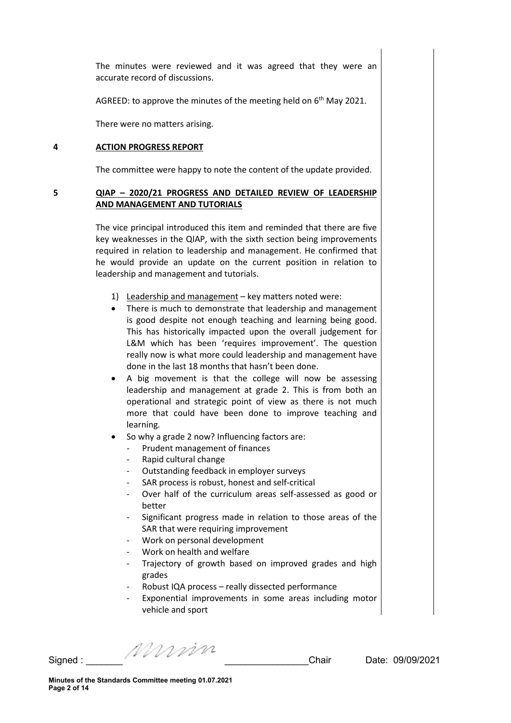The minutes were reviewed and it was agreed that they were an accurate record of discussions.

AGREED: to approve the minutes of the meeting held on  $6<sup>th</sup>$  May 2021.

There were no matters arising.

#### **4 ACTION PROGRESS REPORT**

The committee were happy to note the content of the update provided.

# **5 QIAP – 2020/21 PROGRESS AND DETAILED REVIEW OF LEADERSHIP AND MANAGEMENT AND TUTORIALS**

The vice principal introduced this item and reminded that there are five key weaknesses in the QIAP, with the sixth section being improvements required in relation to leadership and management. He confirmed that he would provide an update on the current position in relation to leadership and management and tutorials.

- 1) Leadership and management key matters noted were:
- There is much to demonstrate that leadership and management is good despite not enough teaching and learning being good. This has historically impacted upon the overall judgement for L&M which has been 'requires improvement'. The question really now is what more could leadership and management have done in the last 18 months that hasn't been done.
- A big movement is that the college will now be assessing leadership and management at grade 2. This is from both an operational and strategic point of view as there is not much more that could have been done to improve teaching and learning.
- So why a grade 2 now? Influencing factors are:
	- Prudent management of finances
	- Rapid cultural change
	- Outstanding feedback in employer surveys
	- SAR process is robust, honest and self-critical
	- Over half of the curriculum areas self-assessed as good or better
	- Significant progress made in relation to those areas of the SAR that were requiring improvement
	- Work on personal development
	- Work on health and welfare
	- Trajectory of growth based on improved grades and high grades
	- Robust IQA process really dissected performance
	- Exponential improvements in some areas including motor vehicle and sport

Signed :  $\frac{1}{2}$  Signed :  $\frac{1}{2}$   $\frac{1}{2}$   $\frac{1}{2}$   $\frac{1}{2}$   $\frac{1}{2}$   $\frac{1}{2}$   $\frac{1}{2}$   $\frac{1}{2}$   $\frac{1}{2}$   $\frac{1}{2}$   $\frac{1}{2}$   $\frac{1}{2}$   $\frac{1}{2}$   $\frac{1}{2}$   $\frac{1}{2}$   $\frac{1}{2}$   $\frac{1}{2}$   $\frac{1}{2}$   $\frac{1}{2}$   $\frac$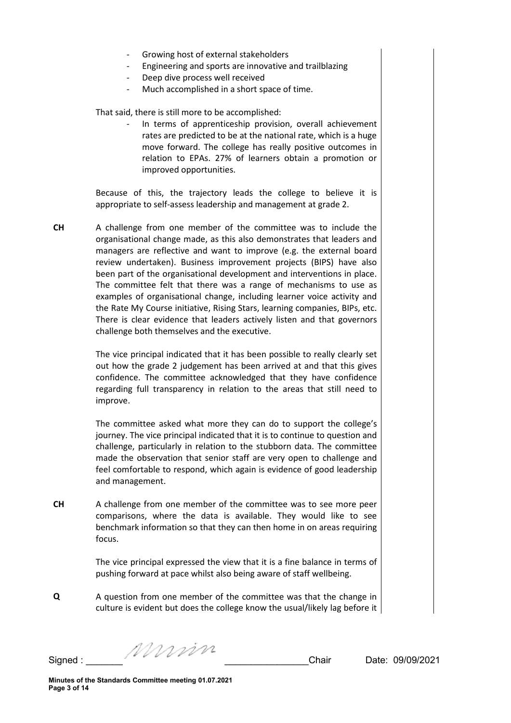- Growing host of external stakeholders
- Engineering and sports are innovative and trailblazing
- Deep dive process well received
- Much accomplished in a short space of time.

That said, there is still more to be accomplished:

In terms of apprenticeship provision, overall achievement rates are predicted to be at the national rate, which is a huge move forward. The college has really positive outcomes in relation to EPAs. 27% of learners obtain a promotion or improved opportunities.

Because of this, the trajectory leads the college to believe it is appropriate to self-assess leadership and management at grade 2.

**CH** A challenge from one member of the committee was to include the organisational change made, as this also demonstrates that leaders and managers are reflective and want to improve (e.g. the external board review undertaken). Business improvement projects (BIPS) have also been part of the organisational development and interventions in place. The committee felt that there was a range of mechanisms to use as examples of organisational change, including learner voice activity and the Rate My Course initiative, Rising Stars, learning companies, BIPs, etc. There is clear evidence that leaders actively listen and that governors challenge both themselves and the executive.

> The vice principal indicated that it has been possible to really clearly set out how the grade 2 judgement has been arrived at and that this gives confidence. The committee acknowledged that they have confidence regarding full transparency in relation to the areas that still need to improve.

> The committee asked what more they can do to support the college's journey. The vice principal indicated that it is to continue to question and challenge, particularly in relation to the stubborn data. The committee made the observation that senior staff are very open to challenge and feel comfortable to respond, which again is evidence of good leadership and management.

**CH** A challenge from one member of the committee was to see more peer comparisons, where the data is available. They would like to see benchmark information so that they can then home in on areas requiring focus.

> The vice principal expressed the view that it is a fine balance in terms of pushing forward at pace whilst also being aware of staff wellbeing.

**Q** A question from one member of the committee was that the change in culture is evident but does the college know the usual/likely lag before it

Signed :  $\frac{1}{2}$  Signed :  $\frac{1}{2}$   $\frac{1}{2}$   $\frac{1}{2}$   $\frac{1}{2}$   $\frac{1}{2}$   $\frac{1}{2}$   $\frac{1}{2}$   $\frac{1}{2}$   $\frac{1}{2}$   $\frac{1}{2}$   $\frac{1}{2}$   $\frac{1}{2}$   $\frac{1}{2}$   $\frac{1}{2}$   $\frac{1}{2}$   $\frac{1}{2}$   $\frac{1}{2}$   $\frac{1}{2}$   $\frac{1}{2}$   $\frac$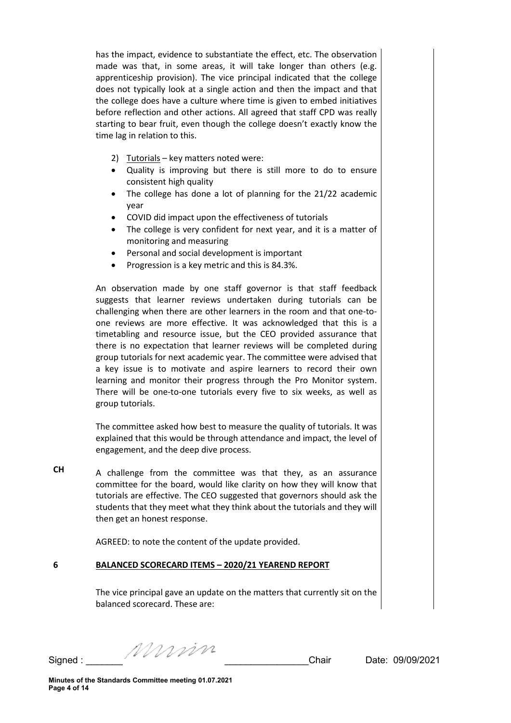has the impact, evidence to substantiate the effect, etc. The observation made was that, in some areas, it will take longer than others (e.g. apprenticeship provision). The vice principal indicated that the college does not typically look at a single action and then the impact and that the college does have a culture where time is given to embed initiatives before reflection and other actions. All agreed that staff CPD was really starting to bear fruit, even though the college doesn't exactly know the time lag in relation to this.

- 2) Tutorials key matters noted were:
- Quality is improving but there is still more to do to ensure consistent high quality
- The college has done a lot of planning for the 21/22 academic year
- COVID did impact upon the effectiveness of tutorials
- The college is very confident for next year, and it is a matter of monitoring and measuring
- Personal and social development is important
- Progression is a key metric and this is 84.3%.

An observation made by one staff governor is that staff feedback suggests that learner reviews undertaken during tutorials can be challenging when there are other learners in the room and that one-toone reviews are more effective. It was acknowledged that this is a timetabling and resource issue, but the CEO provided assurance that there is no expectation that learner reviews will be completed during group tutorials for next academic year. The committee were advised that a key issue is to motivate and aspire learners to record their own learning and monitor their progress through the Pro Monitor system. There will be one-to-one tutorials every five to six weeks, as well as group tutorials.

The committee asked how best to measure the quality of tutorials. It was explained that this would be through attendance and impact, the level of engagement, and the deep dive process.

**CH** A challenge from the committee was that they, as an assurance committee for the board, would like clarity on how they will know that tutorials are effective. The CEO suggested that governors should ask the students that they meet what they think about the tutorials and they will then get an honest response.

AGREED: to note the content of the update provided.

#### **6 BALANCED SCORECARD ITEMS – 2020/21 YEAREND REPORT**

The vice principal gave an update on the matters that currently sit on the balanced scorecard. These are:

Signed : \_\_\_\_\_\_\_ \_\_\_\_\_\_\_\_\_\_\_\_\_\_\_\_Chair Date: 09/09/2021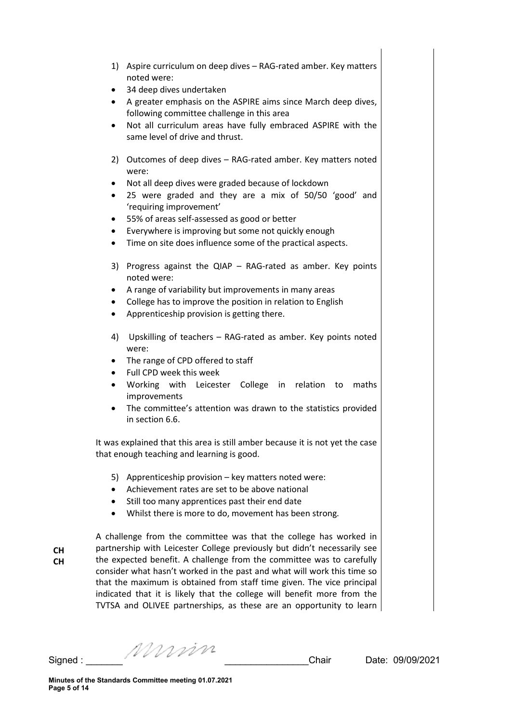- 1) Aspire curriculum on deep dives RAG-rated amber. Key matters noted were:
- 34 deep dives undertaken
- A greater emphasis on the ASPIRE aims since March deep dives, following committee challenge in this area
- Not all curriculum areas have fully embraced ASPIRE with the same level of drive and thrust.
- 2) Outcomes of deep dives RAG-rated amber. Key matters noted were:
- Not all deep dives were graded because of lockdown
- 25 were graded and they are a mix of 50/50 'good' and 'requiring improvement'
- 55% of areas self-assessed as good or better
- Everywhere is improving but some not quickly enough
- Time on site does influence some of the practical aspects.
- 3) Progress against the QIAP RAG-rated as amber. Key points noted were:
- A range of variability but improvements in many areas
- College has to improve the position in relation to English
- Apprenticeship provision is getting there.
- 4) Upskilling of teachers RAG-rated as amber. Key points noted were:
- The range of CPD offered to staff
- Full CPD week this week
- Working with Leicester College in relation to maths improvements
- The committee's attention was drawn to the statistics provided in section 6.6.

It was explained that this area is still amber because it is not yet the case that enough teaching and learning is good.

- 5) Apprenticeship provision key matters noted were:
- Achievement rates are set to be above national
- Still too many apprentices past their end date
- Whilst there is more to do, movement has been strong.

**CH CH**

A challenge from the committee was that the college has worked in partnership with Leicester College previously but didn't necessarily see the expected benefit. A challenge from the committee was to carefully consider what hasn't worked in the past and what will work this time so that the maximum is obtained from staff time given. The vice principal indicated that it is likely that the college will benefit more from the TVTSA and OLIVEE partnerships, as these are an opportunity to learn

Signed : \_\_\_\_\_\_\_ \_\_\_\_\_\_\_\_\_\_\_\_\_\_\_\_Chair Date: 09/09/2021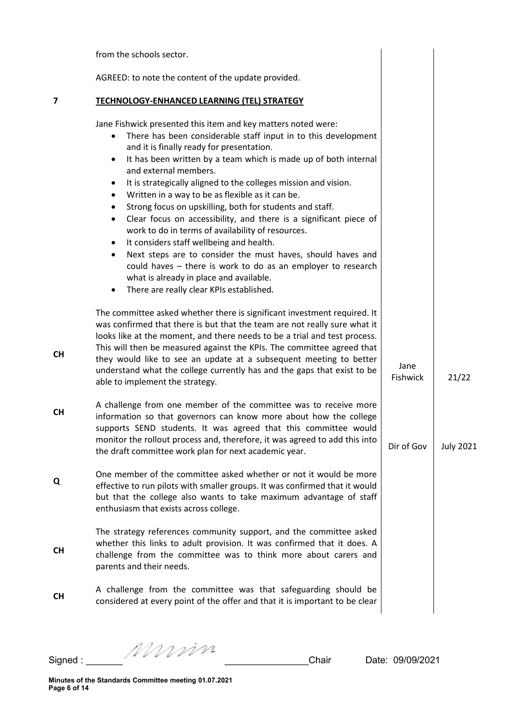| AGREED: to note the content of the update provided.<br>7<br>TECHNOLOGY-ENHANCED LEARNING (TEL) STRATEGY<br>Jane Fishwick presented this item and key matters noted were:<br>There has been considerable staff input in to this development<br>$\bullet$<br>and it is finally ready for presentation.<br>It has been written by a team which is made up of both internal<br>٠<br>and external members.<br>It is strategically aligned to the colleges mission and vision.<br>$\bullet$<br>Written in a way to be as flexible as it can be.<br>Strong focus on upskilling, both for students and staff.<br>Clear focus on accessibility, and there is a significant piece of<br>$\bullet$<br>work to do in terms of availability of resources.<br>It considers staff wellbeing and health.<br>$\bullet$<br>Next steps are to consider the must haves, should haves and<br>could haves - there is work to do as an employer to research<br>what is already in place and available.<br>There are really clear KPIs established.<br>$\bullet$<br>The committee asked whether there is significant investment required. It<br>was confirmed that there is but that the team are not really sure what it<br>looks like at the moment, and there needs to be a trial and test process.<br>This will then be measured against the KPIs. The committee agreed that<br><b>CH</b><br>they would like to see an update at a subsequent meeting to better<br>Jane<br>understand what the college currently has and the gaps that exist to be<br><b>Fishwick</b><br>21/22<br>able to implement the strategy.<br>A challenge from one member of the committee was to receive more<br><b>CH</b><br>information so that governors can know more about how the college<br>supports SEND students. It was agreed that this committee would<br>monitor the rollout process and, therefore, it was agreed to add this into<br>Dir of Gov<br>the draft committee work plan for next academic year.<br>One member of the committee asked whether or not it would be more<br>Q<br>effective to run pilots with smaller groups. It was confirmed that it would<br>but that the college also wants to take maximum advantage of staff<br>enthusiasm that exists across college.<br>The strategy references community support, and the committee asked<br>whether this links to adult provision. It was confirmed that it does. A<br><b>CH</b><br>challenge from the committee was to think more about carers and<br>parents and their needs.<br>A challenge from the committee was that safeguarding should be<br><b>CH</b><br>considered at every point of the offer and that it is important to be clear | from the schools sector. |                  |
|---------------------------------------------------------------------------------------------------------------------------------------------------------------------------------------------------------------------------------------------------------------------------------------------------------------------------------------------------------------------------------------------------------------------------------------------------------------------------------------------------------------------------------------------------------------------------------------------------------------------------------------------------------------------------------------------------------------------------------------------------------------------------------------------------------------------------------------------------------------------------------------------------------------------------------------------------------------------------------------------------------------------------------------------------------------------------------------------------------------------------------------------------------------------------------------------------------------------------------------------------------------------------------------------------------------------------------------------------------------------------------------------------------------------------------------------------------------------------------------------------------------------------------------------------------------------------------------------------------------------------------------------------------------------------------------------------------------------------------------------------------------------------------------------------------------------------------------------------------------------------------------------------------------------------------------------------------------------------------------------------------------------------------------------------------------------------------------------------------------------------------------------------------------------------------------------------------------------------------------------------------------------------------------------------------------------------------------------------------------------------------------------------------------------------------------------------------------------------------------------------------------------------------------------------------------------------------------------------------------------------------------------------------------------------------|--------------------------|------------------|
|                                                                                                                                                                                                                                                                                                                                                                                                                                                                                                                                                                                                                                                                                                                                                                                                                                                                                                                                                                                                                                                                                                                                                                                                                                                                                                                                                                                                                                                                                                                                                                                                                                                                                                                                                                                                                                                                                                                                                                                                                                                                                                                                                                                                                                                                                                                                                                                                                                                                                                                                                                                                                                                                                 |                          |                  |
|                                                                                                                                                                                                                                                                                                                                                                                                                                                                                                                                                                                                                                                                                                                                                                                                                                                                                                                                                                                                                                                                                                                                                                                                                                                                                                                                                                                                                                                                                                                                                                                                                                                                                                                                                                                                                                                                                                                                                                                                                                                                                                                                                                                                                                                                                                                                                                                                                                                                                                                                                                                                                                                                                 |                          |                  |
|                                                                                                                                                                                                                                                                                                                                                                                                                                                                                                                                                                                                                                                                                                                                                                                                                                                                                                                                                                                                                                                                                                                                                                                                                                                                                                                                                                                                                                                                                                                                                                                                                                                                                                                                                                                                                                                                                                                                                                                                                                                                                                                                                                                                                                                                                                                                                                                                                                                                                                                                                                                                                                                                                 |                          |                  |
|                                                                                                                                                                                                                                                                                                                                                                                                                                                                                                                                                                                                                                                                                                                                                                                                                                                                                                                                                                                                                                                                                                                                                                                                                                                                                                                                                                                                                                                                                                                                                                                                                                                                                                                                                                                                                                                                                                                                                                                                                                                                                                                                                                                                                                                                                                                                                                                                                                                                                                                                                                                                                                                                                 |                          |                  |
|                                                                                                                                                                                                                                                                                                                                                                                                                                                                                                                                                                                                                                                                                                                                                                                                                                                                                                                                                                                                                                                                                                                                                                                                                                                                                                                                                                                                                                                                                                                                                                                                                                                                                                                                                                                                                                                                                                                                                                                                                                                                                                                                                                                                                                                                                                                                                                                                                                                                                                                                                                                                                                                                                 |                          | <b>July 2021</b> |
|                                                                                                                                                                                                                                                                                                                                                                                                                                                                                                                                                                                                                                                                                                                                                                                                                                                                                                                                                                                                                                                                                                                                                                                                                                                                                                                                                                                                                                                                                                                                                                                                                                                                                                                                                                                                                                                                                                                                                                                                                                                                                                                                                                                                                                                                                                                                                                                                                                                                                                                                                                                                                                                                                 |                          |                  |
|                                                                                                                                                                                                                                                                                                                                                                                                                                                                                                                                                                                                                                                                                                                                                                                                                                                                                                                                                                                                                                                                                                                                                                                                                                                                                                                                                                                                                                                                                                                                                                                                                                                                                                                                                                                                                                                                                                                                                                                                                                                                                                                                                                                                                                                                                                                                                                                                                                                                                                                                                                                                                                                                                 |                          |                  |
|                                                                                                                                                                                                                                                                                                                                                                                                                                                                                                                                                                                                                                                                                                                                                                                                                                                                                                                                                                                                                                                                                                                                                                                                                                                                                                                                                                                                                                                                                                                                                                                                                                                                                                                                                                                                                                                                                                                                                                                                                                                                                                                                                                                                                                                                                                                                                                                                                                                                                                                                                                                                                                                                                 |                          |                  |

Signed : \_\_\_\_\_\_\_ \_\_\_\_\_\_\_\_\_\_\_\_\_\_\_\_Chair Date: 09/09/2021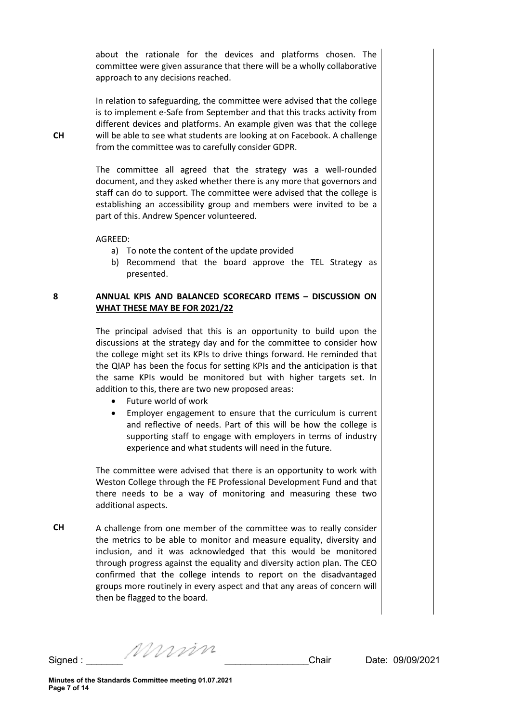about the rationale for the devices and platforms chosen. The committee were given assurance that there will be a wholly collaborative approach to any decisions reached.

In relation to safeguarding, the committee were advised that the college is to implement e-Safe from September and that this tracks activity from different devices and platforms. An example given was that the college will be able to see what students are looking at on Facebook. A challenge from the committee was to carefully consider GDPR.

The committee all agreed that the strategy was a well-rounded document, and they asked whether there is any more that governors and staff can do to support. The committee were advised that the college is establishing an accessibility group and members were invited to be a part of this. Andrew Spencer volunteered.

AGREED:

- a) To note the content of the update provided
- b) Recommend that the board approve the TEL Strategy as presented.

#### **8 ANNUAL KPIS AND BALANCED SCORECARD ITEMS – DISCUSSION ON WHAT THESE MAY BE FOR 2021/22**

The principal advised that this is an opportunity to build upon the discussions at the strategy day and for the committee to consider how the college might set its KPIs to drive things forward. He reminded that the QIAP has been the focus for setting KPIs and the anticipation is that the same KPIs would be monitored but with higher targets set. In addition to this, there are two new proposed areas:

- Future world of work
- Employer engagement to ensure that the curriculum is current and reflective of needs. Part of this will be how the college is supporting staff to engage with employers in terms of industry experience and what students will need in the future.

The committee were advised that there is an opportunity to work with Weston College through the FE Professional Development Fund and that there needs to be a way of monitoring and measuring these two additional aspects.

**CH** A challenge from one member of the committee was to really consider the metrics to be able to monitor and measure equality, diversity and inclusion, and it was acknowledged that this would be monitored through progress against the equality and diversity action plan. The CEO confirmed that the college intends to report on the disadvantaged groups more routinely in every aspect and that any areas of concern will then be flagged to the board.

Signed :  $\frac{1}{2}$  Signed :  $\frac{1}{2}$   $\frac{1}{2}$   $\frac{1}{2}$   $\frac{1}{2}$   $\frac{1}{2}$   $\frac{1}{2}$   $\frac{1}{2}$   $\frac{1}{2}$   $\frac{1}{2}$   $\frac{1}{2}$   $\frac{1}{2}$   $\frac{1}{2}$   $\frac{1}{2}$   $\frac{1}{2}$   $\frac{1}{2}$   $\frac{1}{2}$   $\frac{1}{2}$   $\frac{1}{2}$   $\frac{1}{2}$   $\frac$ 

**CH**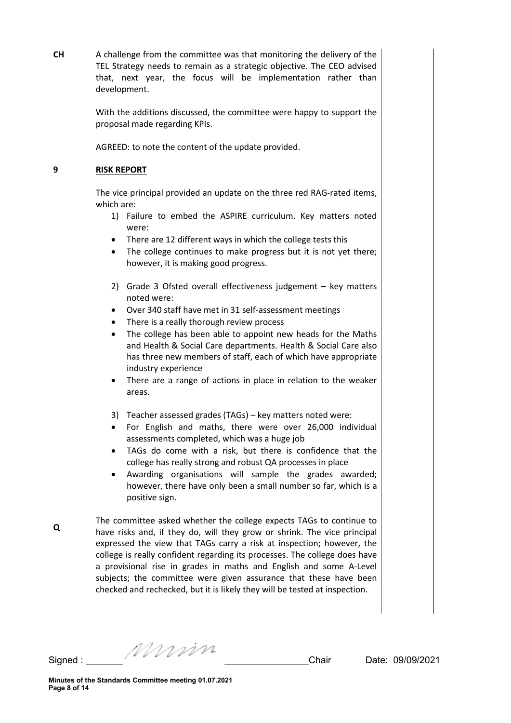**CH** A challenge from the committee was that monitoring the delivery of the TEL Strategy needs to remain as a strategic objective. The CEO advised that, next year, the focus will be implementation rather than development.

> With the additions discussed, the committee were happy to support the proposal made regarding KPIs.

AGREED: to note the content of the update provided.

# **9 RISK REPORT**

The vice principal provided an update on the three red RAG-rated items, which are:

- 1) Failure to embed the ASPIRE curriculum. Key matters noted were:
- There are 12 different ways in which the college tests this
- The college continues to make progress but it is not yet there; however, it is making good progress.
- 2) Grade 3 Ofsted overall effectiveness judgement key matters noted were:
- Over 340 staff have met in 31 self-assessment meetings
- There is a really thorough review process
- The college has been able to appoint new heads for the Maths and Health & Social Care departments. Health & Social Care also has three new members of staff, each of which have appropriate industry experience
- There are a range of actions in place in relation to the weaker areas.
- 3) Teacher assessed grades (TAGs) key matters noted were:
- For English and maths, there were over 26,000 individual assessments completed, which was a huge job
- TAGs do come with a risk, but there is confidence that the college has really strong and robust QA processes in place
- Awarding organisations will sample the grades awarded; however, there have only been a small number so far, which is a positive sign.

The committee asked whether the college expects TAGs to continue to have risks and, if they do, will they grow or shrink. The vice principal expressed the view that TAGs carry a risk at inspection; however, the college is really confident regarding its processes. The college does have a provisional rise in grades in maths and English and some A-Level subjects; the committee were given assurance that these have been checked and rechecked, but it is likely they will be tested at inspection.

**Q**

Signed : \_\_\_\_\_\_\_ \_\_\_\_\_\_\_\_\_\_\_\_\_\_\_\_Chair Date: 09/09/2021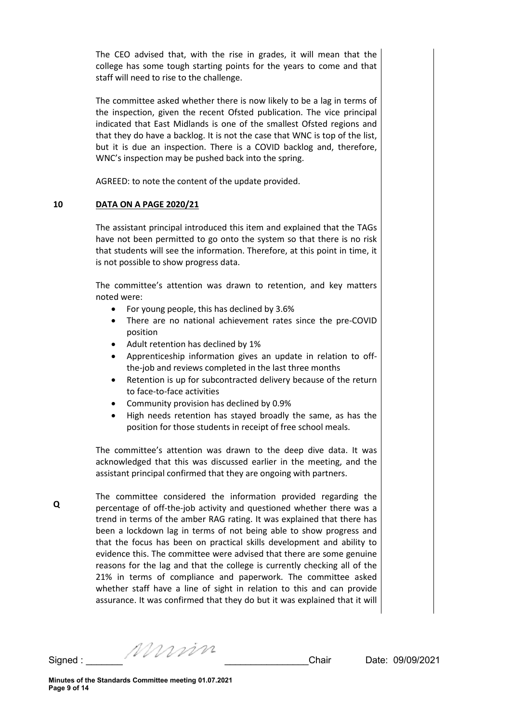The CEO advised that, with the rise in grades, it will mean that the college has some tough starting points for the years to come and that staff will need to rise to the challenge.

The committee asked whether there is now likely to be a lag in terms of the inspection, given the recent Ofsted publication. The vice principal indicated that East Midlands is one of the smallest Ofsted regions and that they do have a backlog. It is not the case that WNC is top of the list, but it is due an inspection. There is a COVID backlog and, therefore, WNC's inspection may be pushed back into the spring.

AGREED: to note the content of the update provided.

# **10 DATA ON A PAGE 2020/21**

The assistant principal introduced this item and explained that the TAGs have not been permitted to go onto the system so that there is no risk that students will see the information. Therefore, at this point in time, it is not possible to show progress data.

The committee's attention was drawn to retention, and key matters noted were:

- For young people, this has declined by 3.6%
- There are no national achievement rates since the pre-COVID position
- Adult retention has declined by 1%
- Apprenticeship information gives an update in relation to offthe-job and reviews completed in the last three months
- Retention is up for subcontracted delivery because of the return to face-to-face activities
- Community provision has declined by 0.9%
- High needs retention has stayed broadly the same, as has the position for those students in receipt of free school meals.

The committee's attention was drawn to the deep dive data. It was acknowledged that this was discussed earlier in the meeting, and the assistant principal confirmed that they are ongoing with partners.

The committee considered the information provided regarding the percentage of off-the-job activity and questioned whether there was a trend in terms of the amber RAG rating. It was explained that there has been a lockdown lag in terms of not being able to show progress and that the focus has been on practical skills development and ability to evidence this. The committee were advised that there are some genuine reasons for the lag and that the college is currently checking all of the 21% in terms of compliance and paperwork. The committee asked whether staff have a line of sight in relation to this and can provide assurance. It was confirmed that they do but it was explained that it will

**Q**

Signed : \_\_\_\_\_\_\_ \_\_\_\_\_\_\_\_\_\_\_\_\_\_\_\_Chair Date: 09/09/2021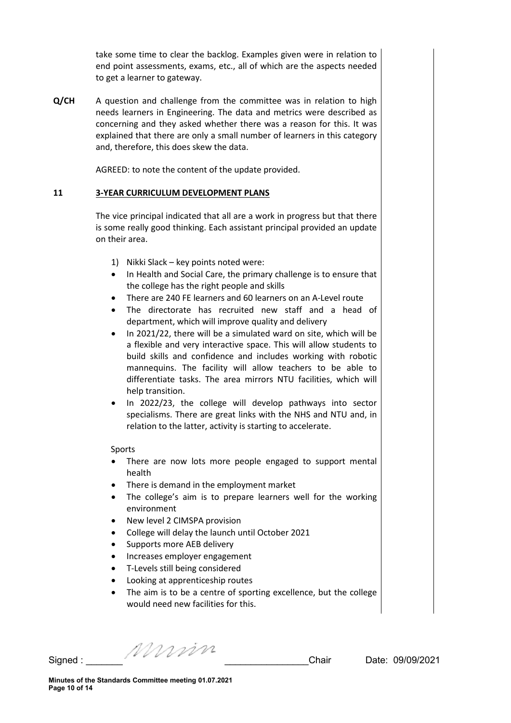take some time to clear the backlog. Examples given were in relation to end point assessments, exams, etc., all of which are the aspects needed to get a learner to gateway.

**Q/CH** A question and challenge from the committee was in relation to high needs learners in Engineering. The data and metrics were described as concerning and they asked whether there was a reason for this. It was explained that there are only a small number of learners in this category and, therefore, this does skew the data.

AGREED: to note the content of the update provided.

### **11 3-YEAR CURRICULUM DEVELOPMENT PLANS**

The vice principal indicated that all are a work in progress but that there is some really good thinking. Each assistant principal provided an update on their area.

- 1) Nikki Slack key points noted were:
- In Health and Social Care, the primary challenge is to ensure that the college has the right people and skills
- There are 240 FE learners and 60 learners on an A-Level route
- The directorate has recruited new staff and a head of department, which will improve quality and delivery
- In 2021/22, there will be a simulated ward on site, which will be a flexible and very interactive space. This will allow students to build skills and confidence and includes working with robotic mannequins. The facility will allow teachers to be able to differentiate tasks. The area mirrors NTU facilities, which will help transition.
- In 2022/23, the college will develop pathways into sector specialisms. There are great links with the NHS and NTU and, in relation to the latter, activity is starting to accelerate.

#### Sports

- There are now lots more people engaged to support mental health
- There is demand in the employment market
- The college's aim is to prepare learners well for the working environment
- New level 2 CIMSPA provision
- College will delay the launch until October 2021
- Supports more AEB delivery
- Increases employer engagement
- T-Levels still being considered
- Looking at apprenticeship routes
- The aim is to be a centre of sporting excellence, but the college would need new facilities for this.

Signed : \_\_\_\_\_\_\_ \_\_\_\_\_\_\_\_\_\_\_\_\_\_\_\_Chair Date: 09/09/2021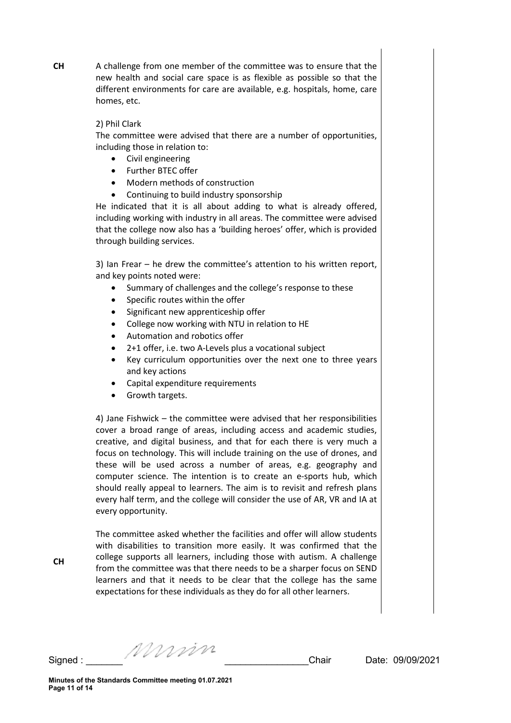A challenge from one member of the committee was to ensure that the new health and social care space is as flexible as possible so that the different environments for care are available, e.g. hospitals, home, care homes, etc.

## 2) Phil Clark

**CH**

The committee were advised that there are a number of opportunities, including those in relation to:

- Civil engineering
- Further BTEC offer
- Modern methods of construction
- Continuing to build industry sponsorship

He indicated that it is all about adding to what is already offered, including working with industry in all areas. The committee were advised that the college now also has a 'building heroes' offer, which is provided through building services.

3) Ian Frear – he drew the committee's attention to his written report, and key points noted were:

- Summary of challenges and the college's response to these
- Specific routes within the offer
- Significant new apprenticeship offer
- College now working with NTU in relation to HE
- Automation and robotics offer
- 2+1 offer, i.e. two A-Levels plus a vocational subject
- Key curriculum opportunities over the next one to three years and key actions
- Capital expenditure requirements
- Growth targets.

4) Jane Fishwick – the committee were advised that her responsibilities cover a broad range of areas, including access and academic studies, creative, and digital business, and that for each there is very much a focus on technology. This will include training on the use of drones, and these will be used across a number of areas, e.g. geography and computer science. The intention is to create an e-sports hub, which should really appeal to learners. The aim is to revisit and refresh plans every half term, and the college will consider the use of AR, VR and IA at every opportunity.

The committee asked whether the facilities and offer will allow students with disabilities to transition more easily. It was confirmed that the college supports all learners, including those with autism. A challenge from the committee was that there needs to be a sharper focus on SEND learners and that it needs to be clear that the college has the same expectations for these individuals as they do for all other learners.

**CH**

Signed : \_\_\_\_\_\_\_ \_\_\_\_\_\_\_\_\_\_\_\_\_\_\_\_Chair Date: 09/09/2021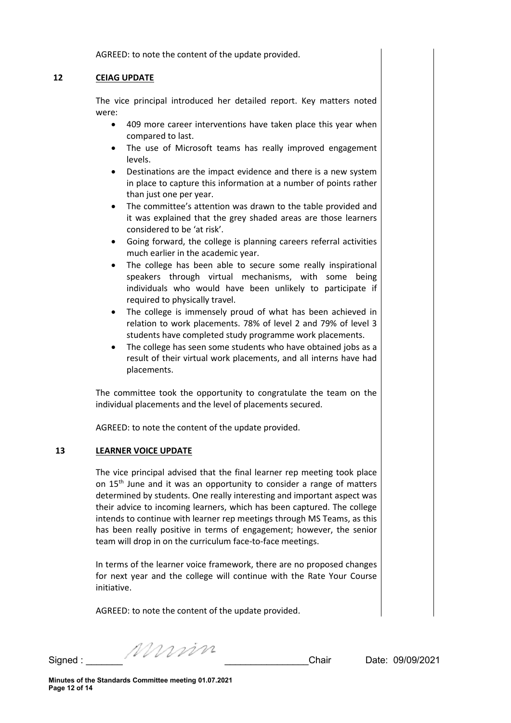AGREED: to note the content of the update provided.

# **12 CEIAG UPDATE**

The vice principal introduced her detailed report. Key matters noted were:

- 409 more career interventions have taken place this year when compared to last.
- The use of Microsoft teams has really improved engagement levels.
- Destinations are the impact evidence and there is a new system in place to capture this information at a number of points rather than just one per year.
- The committee's attention was drawn to the table provided and it was explained that the grey shaded areas are those learners considered to be 'at risk'.
- Going forward, the college is planning careers referral activities much earlier in the academic year.
- The college has been able to secure some really inspirational speakers through virtual mechanisms, with some being individuals who would have been unlikely to participate if required to physically travel.
- The college is immensely proud of what has been achieved in relation to work placements. 78% of level 2 and 79% of level 3 students have completed study programme work placements.
- The college has seen some students who have obtained jobs as a result of their virtual work placements, and all interns have had placements.

The committee took the opportunity to congratulate the team on the individual placements and the level of placements secured.

AGREED: to note the content of the update provided.

# **13 LEARNER VOICE UPDATE**

The vice principal advised that the final learner rep meeting took place on 15<sup>th</sup> June and it was an opportunity to consider a range of matters determined by students. One really interesting and important aspect was their advice to incoming learners, which has been captured. The college intends to continue with learner rep meetings through MS Teams, as this has been really positive in terms of engagement; however, the senior team will drop in on the curriculum face-to-face meetings.

In terms of the learner voice framework, there are no proposed changes for next year and the college will continue with the Rate Your Course initiative.

AGREED: to note the content of the update provided.

Signed :  $\frac{1}{2}$  Signed :  $\frac{1}{2}$   $\frac{1}{2}$   $\frac{1}{2}$   $\frac{1}{2}$   $\frac{1}{2}$   $\frac{1}{2}$   $\frac{1}{2}$   $\frac{1}{2}$   $\frac{1}{2}$   $\frac{1}{2}$   $\frac{1}{2}$   $\frac{1}{2}$   $\frac{1}{2}$   $\frac{1}{2}$   $\frac{1}{2}$   $\frac{1}{2}$   $\frac{1}{2}$   $\frac{1}{2}$   $\frac{1}{2}$   $\frac$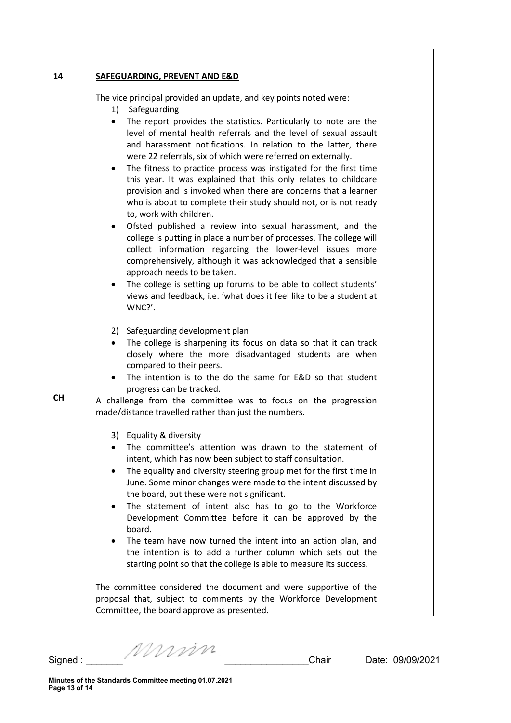#### **14 SAFEGUARDING, PREVENT AND E&D**

The vice principal provided an update, and key points noted were:

- 1) Safeguarding
- The report provides the statistics. Particularly to note are the level of mental health referrals and the level of sexual assault and harassment notifications. In relation to the latter, there were 22 referrals, six of which were referred on externally.
- The fitness to practice process was instigated for the first time this year. It was explained that this only relates to childcare provision and is invoked when there are concerns that a learner who is about to complete their study should not, or is not ready to, work with children.
- Ofsted published a review into sexual harassment, and the college is putting in place a number of processes. The college will collect information regarding the lower-level issues more comprehensively, although it was acknowledged that a sensible approach needs to be taken.
- The college is setting up forums to be able to collect students' views and feedback, i.e. 'what does it feel like to be a student at WNC?'.
- 2) Safeguarding development plan
- The college is sharpening its focus on data so that it can track closely where the more disadvantaged students are when compared to their peers.
- The intention is to the do the same for E&D so that student progress can be tracked.

A challenge from the committee was to focus on the progression made/distance travelled rather than just the numbers.

- 3) Equality & diversity
- The committee's attention was drawn to the statement of intent, which has now been subject to staff consultation.
- The equality and diversity steering group met for the first time in June. Some minor changes were made to the intent discussed by the board, but these were not significant.
- The statement of intent also has to go to the Workforce Development Committee before it can be approved by the board.
- The team have now turned the intent into an action plan, and the intention is to add a further column which sets out the starting point so that the college is able to measure its success.

The committee considered the document and were supportive of the proposal that, subject to comments by the Workforce Development Committee, the board approve as presented.

Signed : \_\_\_\_\_\_\_ \_\_\_\_\_\_\_\_\_\_\_\_\_\_\_\_Chair Date: 09/09/2021

**CH**